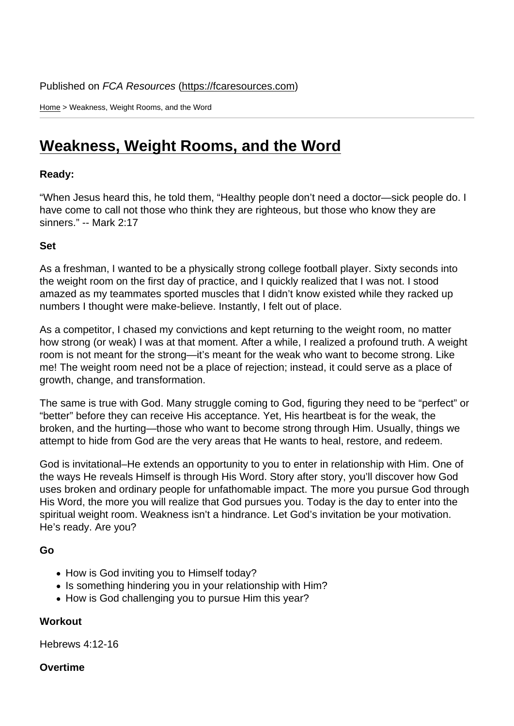Home > Weakness, Weight Rooms, and the Word

## [We](https://fcaresources.com/)akness, Weight Rooms, and the Word

Ready:

["When Jesus heard this, he told them, "Healthy people don't need](https://fcaresources.com/devotional/weakness-weight-rooms-and-word) a doctor—sick people do. I have come to call not those who think they are righteous, but those who know they are sinners." -- Mark 2:17

Set

As a freshman, I wanted to be a physically strong college football player. Sixty seconds into the weight room on the first day of practice, and I quickly realized that I was not. I stood amazed as my teammates sported muscles that I didn't know existed while they racked up numbers I thought were make-believe. Instantly, I felt out of place.

As a competitor, I chased my convictions and kept returning to the weight room, no matter how strong (or weak) I was at that moment. After a while, I realized a profound truth. A weight room is not meant for the strong—it's meant for the weak who want to become strong. Like me! The weight room need not be a place of rejection; instead, it could serve as a place of growth, change, and transformation.

The same is true with God. Many struggle coming to God, figuring they need to be "perfect" or "better" before they can receive His acceptance. Yet, His heartbeat is for the weak, the broken, and the hurting—those who want to become strong through Him. Usually, things we attempt to hide from God are the very areas that He wants to heal, restore, and redeem.

God is invitational–He extends an opportunity to you to enter in relationship with Him. One of the ways He reveals Himself is through His Word. Story after story, you'll discover how God uses broken and ordinary people for unfathomable impact. The more you pursue God through His Word, the more you will realize that God pursues you. Today is the day to enter into the spiritual weight room. Weakness isn't a hindrance. Let God's invitation be your motivation. He's ready. Are you?

Go

- How is God inviting you to Himself today?
- Is something hindering you in your relationship with Him?
- How is God challenging you to pursue Him this year?

**Workout** 

Hebrews 4:12-16

**Overtime**